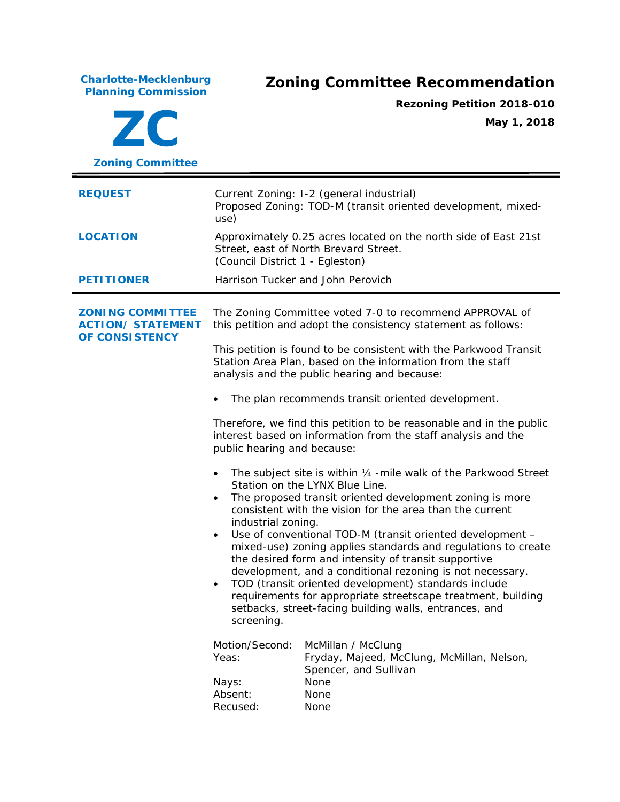**Charlotte-Mecklenburg**

## **Planning Commission Zoning Committee Recommendation**

**ZC Zoning Committee Rezoning Petition 2018-010 May 1, 2018 REQUEST** Current Zoning: I-2 (general industrial) Proposed Zoning: TOD-M (transit oriented development, mixeduse) **LOCATION** Approximately 0.25 acres located on the north side of East 21st Street, east of North Brevard Street. (Council District 1 - Egleston) **PETITIONER** Harrison Tucker and John Perovich **ZONING COMMITTEE ACTION/ STATEMENT OF CONSISTENCY** The Zoning Committee voted 7-0 to recommend APPROVAL of this petition and adopt the consistency statement as follows: This petition is found to be consistent with the *Parkwood Transit Station Area Plan,* based on the information from the staff analysis and the public hearing and because: • The plan recommends transit oriented development. Therefore, we find this petition to be reasonable and in the public interest based on information from the staff analysis and the public hearing and because: • The subject site is within 1/4 -mile walk of the Parkwood Street Station on the LYNX Blue Line. The proposed transit oriented development zoning is more consistent with the vision for the area than the current industrial zoning. Use of conventional TOD-M (transit oriented development – mixed-use) zoning applies standards and regulations to create the desired form and intensity of transit supportive development, and a conditional rezoning is not necessary. • TOD (transit oriented development) standards include requirements for appropriate streetscape treatment, building setbacks, street-facing building walls, entrances, and screening. Motion/Second: McMillan / McClung Yeas: Fryday, Majeed, McClung, McMillan, Nelson, Spencer, and Sullivan Nays: None Absent: None Recused: None